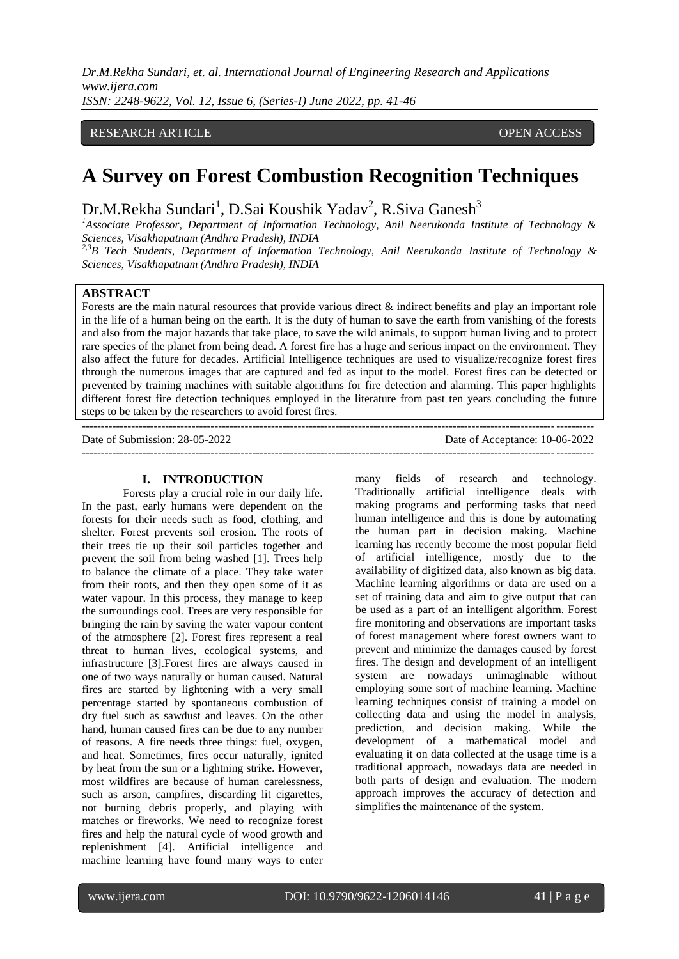*Dr.M.Rekha Sundari, et. al. International Journal of Engineering Research and Applications www.ijera.com*

*ISSN: 2248-9622, Vol. 12, Issue 6, (Series-I) June 2022, pp. 41-46*

# RESEARCH ARTICLE OPEN ACCESS

# **A Survey on Forest Combustion Recognition Techniques**

Dr.M.Rekha Sundari<sup>1</sup>, D.Sai Koushik Yadav<sup>2</sup>, R.Siva Ganesh<sup>3</sup>

*<sup>1</sup>Associate Professor, Department of Information Technology, Anil Neerukonda Institute of Technology & Sciences, Visakhapatnam (Andhra Pradesh), INDIA*

*2,3B Tech Students, Department of Information Technology, Anil Neerukonda Institute of Technology & Sciences, Visakhapatnam (Andhra Pradesh), INDIA*

# **ABSTRACT**

Forests are the main natural resources that provide various direct & indirect benefits and play an important role in the life of a human being on the earth. It is the duty of human to save the earth from vanishing of the forests and also from the major hazards that take place, to save the wild animals, to support human living and to protect rare species of the planet from being dead. A forest fire has a huge and serious impact on the environment. They also affect the future for decades. Artificial Intelligence techniques are used to visualize/recognize forest fires through the numerous images that are captured and fed as input to the model. Forest fires can be detected or prevented by training machines with suitable algorithms for fire detection and alarming. This paper highlights different forest fire detection techniques employed in the literature from past ten years concluding the future steps to be taken by the researchers to avoid forest fires.

--------------------------------------------------------------------------------------------------------------------------------------- Date of Submission: 28-05-2022 Date of Acceptance: 10-06-2022 ---------------------------------------------------------------------------------------------------------------------------------------

#### **I. INTRODUCTION**

Forests play a crucial role in our daily life. In the past, early humans were dependent on the forests for their needs such as food, clothing, and shelter. Forest prevents soil erosion. The roots of their trees tie up their soil particles together and prevent the soil from being washed [1]. Trees help to balance the climate of a place. They take water from their roots, and then they open some of it as water vapour. In this process, they manage to keep the surroundings cool. Trees are very responsible for bringing the rain by saving the water vapour content of the atmosphere [2]. Forest fires represent a real threat to human lives, ecological systems, and infrastructure [3].Forest fires are always caused in one of two ways naturally or human caused. Natural fires are started by lightening with a very small percentage started by spontaneous combustion of dry fuel such as sawdust and leaves. On the other hand, human caused fires can be due to any number of reasons. A fire needs three things: fuel, oxygen, and heat. Sometimes, fires occur naturally, ignited by heat from the sun or a lightning strike. However, most wildfires are because of human carelessness, such as arson, campfires, discarding lit cigarettes, not burning debris properly, and playing with matches or fireworks. We need to recognize forest fires and help the natural cycle of wood growth and replenishment [4]. Artificial intelligence and machine learning have found many ways to enter

many fields of research and technology. Traditionally artificial intelligence deals with making programs and performing tasks that need human intelligence and this is done by automating the human part in decision making. Machine learning has recently become the most popular field of artificial intelligence, mostly due to the availability of digitized data, also known as big data. Machine learning algorithms or data are used on a set of training data and aim to give output that can be used as a part of an intelligent algorithm. Forest fire monitoring and observations are important tasks of forest management where forest owners want to prevent and minimize the damages caused by forest fires. The design and development of an intelligent system are nowadays unimaginable without employing some sort of machine learning. Machine learning techniques consist of training a model on collecting data and using the model in analysis, prediction, and decision making. While the development of a mathematical model and evaluating it on data collected at the usage time is a traditional approach, nowadays data are needed in both parts of design and evaluation. The modern approach improves the accuracy of detection and simplifies the maintenance of the system.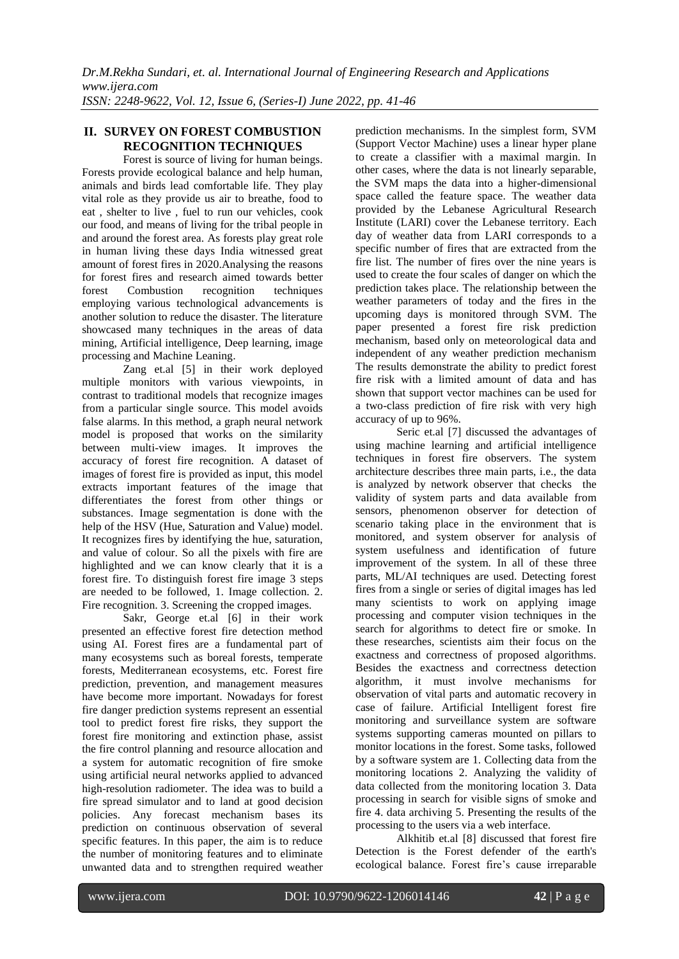## **II. SURVEY ON FOREST COMBUSTION RECOGNITION TECHNIQUES**

Forest is source of living for human beings. Forests provide ecological balance and help human, animals and birds lead comfortable life. They play vital role as they provide us air to breathe, food to eat , shelter to live , fuel to run our vehicles, cook our food, and means of living for the tribal people in and around the forest area. As forests play great role in human living these days India witnessed great amount of forest fires in 2020.Analysing the reasons for forest fires and research aimed towards better forest Combustion recognition techniques employing various technological advancements is another solution to reduce the disaster. The literature showcased many techniques in the areas of data mining, Artificial intelligence, Deep learning, image processing and Machine Leaning.

Zang et.al [5] in their work deployed multiple monitors with various viewpoints, in contrast to traditional models that recognize images from a particular single source. This model avoids false alarms. In this method, a graph neural network model is proposed that works on the similarity between multi-view images. It improves the accuracy of forest fire recognition. A dataset of images of forest fire is provided as input, this model extracts important features of the image that differentiates the forest from other things or substances. Image segmentation is done with the help of the HSV (Hue, Saturation and Value) model. It recognizes fires by identifying the hue, saturation, and value of colour. So all the pixels with fire are highlighted and we can know clearly that it is a forest fire. To distinguish forest fire image 3 steps are needed to be followed, 1. Image collection. 2. Fire recognition. 3. Screening the cropped images.

Sakr, George et.al [6] in their work presented an effective forest fire detection method using AI. Forest fires are a fundamental part of many ecosystems such as boreal forests, temperate forests, Mediterranean ecosystems, etc. Forest fire prediction, prevention, and management measures have become more important. Nowadays for forest fire danger prediction systems represent an essential tool to predict forest fire risks, they support the forest fire monitoring and extinction phase, assist the fire control planning and resource allocation and a system for automatic recognition of fire smoke using artificial neural networks applied to advanced high-resolution radiometer. The idea was to build a fire spread simulator and to land at good decision policies. Any forecast mechanism bases its prediction on continuous observation of several specific features. In this paper, the aim is to reduce the number of monitoring features and to eliminate unwanted data and to strengthen required weather prediction mechanisms. In the simplest form, SVM (Support Vector Machine) uses a linear hyper plane to create a classifier with a maximal margin. In other cases, where the data is not linearly separable, the SVM maps the data into a higher-dimensional space called the feature space. The weather data provided by the Lebanese Agricultural Research Institute (LARI) cover the Lebanese territory. Each day of weather data from LARI corresponds to a specific number of fires that are extracted from the fire list. The number of fires over the nine years is used to create the four scales of danger on which the prediction takes place. The relationship between the weather parameters of today and the fires in the upcoming days is monitored through SVM. The paper presented a forest fire risk prediction mechanism, based only on meteorological data and independent of any weather prediction mechanism The results demonstrate the ability to predict forest fire risk with a limited amount of data and has shown that support vector machines can be used for a two-class prediction of fire risk with very high accuracy of up to 96%.

Seric et.al [7] discussed the advantages of using machine learning and artificial intelligence techniques in forest fire observers. The system architecture describes three main parts, i.e., the data is analyzed by network observer that checks the validity of system parts and data available from sensors, phenomenon observer for detection of scenario taking place in the environment that is monitored, and system observer for analysis of system usefulness and identification of future improvement of the system. In all of these three parts, ML/AI techniques are used. Detecting forest fires from a single or series of digital images has led many scientists to work on applying image processing and computer vision techniques in the search for algorithms to detect fire or smoke. In these researches, scientists aim their focus on the exactness and correctness of proposed algorithms. Besides the exactness and correctness detection algorithm, it must involve mechanisms for observation of vital parts and automatic recovery in case of failure. Artificial Intelligent forest fire monitoring and surveillance system are software systems supporting cameras mounted on pillars to monitor locations in the forest. Some tasks, followed by a software system are 1. Collecting data from the monitoring locations 2. Analyzing the validity of data collected from the monitoring location 3. Data processing in search for visible signs of smoke and fire 4. data archiving 5. Presenting the results of the processing to the users via a web interface.

Alkhitib et.al [8] discussed that forest fire Detection is the Forest defender of the earth's ecological balance. Forest fire's cause irreparable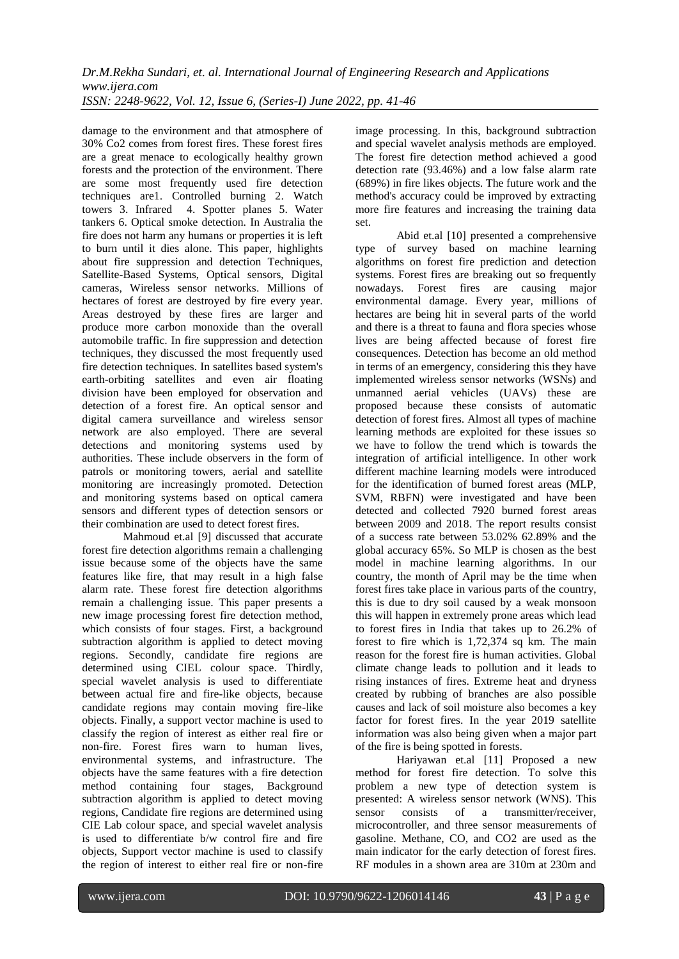damage to the environment and that atmosphere of 30% Co2 comes from forest fires. These forest fires are a great menace to ecologically healthy grown forests and the protection of the environment. There are some most frequently used fire detection techniques are1. Controlled burning 2. Watch towers 3. Infrared 4. Spotter planes 5. Water tankers 6. Optical smoke detection. In Australia the fire does not harm any humans or properties it is left to burn until it dies alone. This paper, highlights about fire suppression and detection Techniques, Satellite-Based Systems, Optical sensors, Digital cameras, Wireless sensor networks. Millions of hectares of forest are destroyed by fire every year. Areas destroyed by these fires are larger and produce more carbon monoxide than the overall automobile traffic. In fire suppression and detection techniques, they discussed the most frequently used fire detection techniques. In satellites based system's earth-orbiting satellites and even air floating division have been employed for observation and detection of a forest fire. An optical sensor and digital camera surveillance and wireless sensor network are also employed. There are several detections and monitoring systems used by authorities. These include observers in the form of patrols or monitoring towers, aerial and satellite monitoring are increasingly promoted. Detection and monitoring systems based on optical camera sensors and different types of detection sensors or their combination are used to detect forest fires.

Mahmoud et.al [9] discussed that accurate forest fire detection algorithms remain a challenging issue because some of the objects have the same features like fire, that may result in a high false alarm rate. These forest fire detection algorithms remain a challenging issue. This paper presents a new image processing forest fire detection method, which consists of four stages. First, a background subtraction algorithm is applied to detect moving regions. Secondly, candidate fire regions are determined using CIEL colour space. Thirdly, special wavelet analysis is used to differentiate between actual fire and fire-like objects, because candidate regions may contain moving fire-like objects. Finally, a support vector machine is used to classify the region of interest as either real fire or non-fire. Forest fires warn to human lives, environmental systems, and infrastructure. The objects have the same features with a fire detection method containing four stages, Background subtraction algorithm is applied to detect moving regions, Candidate fire regions are determined using CIE Lab colour space, and special wavelet analysis is used to differentiate b/w control fire and fire objects, Support vector machine is used to classify the region of interest to either real fire or non-fire

image processing. In this, background subtraction and special wavelet analysis methods are employed. The forest fire detection method achieved a good detection rate (93.46%) and a low false alarm rate (689%) in fire likes objects. The future work and the method's accuracy could be improved by extracting more fire features and increasing the training data set.

Abid et.al [10] presented a comprehensive type of survey based on machine learning algorithms on forest fire prediction and detection systems. Forest fires are breaking out so frequently nowadays. Forest fires are causing major environmental damage. Every year, millions of hectares are being hit in several parts of the world and there is a threat to fauna and flora species whose lives are being affected because of forest fire consequences. Detection has become an old method in terms of an emergency, considering this they have implemented wireless sensor networks (WSNs) and unmanned aerial vehicles (UAVs) these are proposed because these consists of automatic detection of forest fires. Almost all types of machine learning methods are exploited for these issues so we have to follow the trend which is towards the integration of artificial intelligence. In other work different machine learning models were introduced for the identification of burned forest areas (MLP, SVM, RBFN) were investigated and have been detected and collected 7920 burned forest areas between 2009 and 2018. The report results consist of a success rate between 53.02% 62.89% and the global accuracy 65%. So MLP is chosen as the best model in machine learning algorithms. In our country, the month of April may be the time when forest fires take place in various parts of the country, this is due to dry soil caused by a weak monsoon this will happen in extremely prone areas which lead to forest fires in India that takes up to 26.2% of forest to fire which is 1,72,374 sq km. The main reason for the forest fire is human activities. Global climate change leads to pollution and it leads to rising instances of fires. Extreme heat and dryness created by rubbing of branches are also possible causes and lack of soil moisture also becomes a key factor for forest fires. In the year 2019 satellite information was also being given when a major part of the fire is being spotted in forests.

Hariyawan et.al [11] Proposed a new method for forest fire detection. To solve this problem a new type of detection system is presented: A wireless sensor network (WNS). This sensor consists of a transmitter/receiver, microcontroller, and three sensor measurements of gasoline. Methane, CO, and CO2 are used as the main indicator for the early detection of forest fires. RF modules in a shown area are 310m at 230m and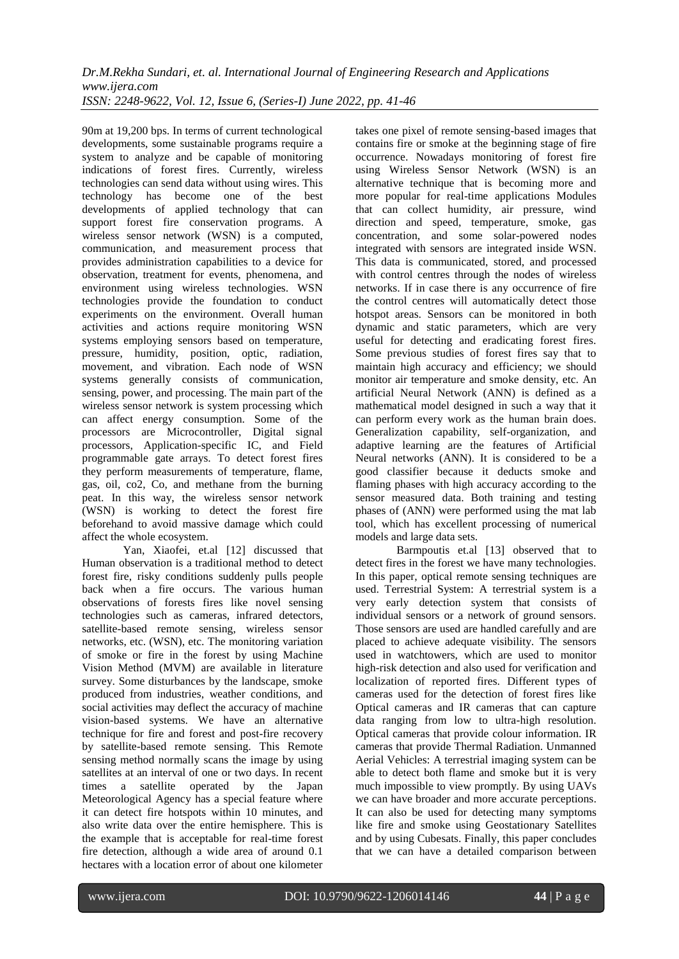*Dr.M.Rekha Sundari, et. al. International Journal of Engineering Research and Applications www.ijera.com ISSN: 2248-9622, Vol. 12, Issue 6, (Series-I) June 2022, pp. 41-46*

90m at 19,200 bps. In terms of current technological developments, some sustainable programs require a system to analyze and be capable of monitoring indications of forest fires. Currently, wireless technologies can send data without using wires. This technology has become one of the best developments of applied technology that can support forest fire conservation programs. A wireless sensor network (WSN) is a computed, communication, and measurement process that provides administration capabilities to a device for observation, treatment for events, phenomena, and environment using wireless technologies. WSN technologies provide the foundation to conduct experiments on the environment. Overall human activities and actions require monitoring WSN systems employing sensors based on temperature, pressure, humidity, position, optic, radiation, movement, and vibration. Each node of WSN systems generally consists of communication, sensing, power, and processing. The main part of the wireless sensor network is system processing which can affect energy consumption. Some of the processors are Microcontroller, Digital signal processors, Application-specific IC, and Field programmable gate arrays. To detect forest fires they perform measurements of temperature, flame, gas, oil, co2, Co, and methane from the burning peat. In this way, the wireless sensor network (WSN) is working to detect the forest fire beforehand to avoid massive damage which could affect the whole ecosystem.

Yan, Xiaofei, et.al [12] discussed that Human observation is a traditional method to detect forest fire, risky conditions suddenly pulls people back when a fire occurs. The various human observations of forests fires like novel sensing technologies such as cameras, infrared detectors, satellite-based remote sensing, wireless sensor networks, etc. (WSN), etc. The monitoring variation of smoke or fire in the forest by using Machine Vision Method (MVM) are available in literature survey. Some disturbances by the landscape, smoke produced from industries, weather conditions, and social activities may deflect the accuracy of machine vision-based systems. We have an alternative technique for fire and forest and post-fire recovery by satellite-based remote sensing. This Remote sensing method normally scans the image by using satellites at an interval of one or two days. In recent times a satellite operated by the Japan Meteorological Agency has a special feature where it can detect fire hotspots within 10 minutes, and also write data over the entire hemisphere. This is the example that is acceptable for real-time forest fire detection, although a wide area of around 0.1 hectares with a location error of about one kilometer takes one pixel of remote sensing-based images that contains fire or smoke at the beginning stage of fire occurrence. Nowadays monitoring of forest fire using Wireless Sensor Network (WSN) is an alternative technique that is becoming more and more popular for real-time applications Modules that can collect humidity, air pressure, wind direction and speed, temperature, smoke, gas concentration, and some solar-powered nodes integrated with sensors are integrated inside WSN. This data is communicated, stored, and processed with control centres through the nodes of wireless networks. If in case there is any occurrence of fire the control centres will automatically detect those hotspot areas. Sensors can be monitored in both dynamic and static parameters, which are very useful for detecting and eradicating forest fires. Some previous studies of forest fires say that to maintain high accuracy and efficiency; we should monitor air temperature and smoke density, etc. An artificial Neural Network (ANN) is defined as a mathematical model designed in such a way that it can perform every work as the human brain does. Generalization capability, self-organization, and adaptive learning are the features of Artificial Neural networks (ANN). It is considered to be a good classifier because it deducts smoke and flaming phases with high accuracy according to the sensor measured data. Both training and testing phases of (ANN) were performed using the mat lab tool, which has excellent processing of numerical models and large data sets.

Barmpoutis et.al [13] observed that to detect fires in the forest we have many technologies. In this paper, optical remote sensing techniques are used. Terrestrial System: A terrestrial system is a very early detection system that consists of individual sensors or a network of ground sensors. Those sensors are used are handled carefully and are placed to achieve adequate visibility. The sensors used in watchtowers, which are used to monitor high-risk detection and also used for verification and localization of reported fires. Different types of cameras used for the detection of forest fires like Optical cameras and IR cameras that can capture data ranging from low to ultra-high resolution. Optical cameras that provide colour information. IR cameras that provide Thermal Radiation. Unmanned Aerial Vehicles: A terrestrial imaging system can be able to detect both flame and smoke but it is very much impossible to view promptly. By using UAVs we can have broader and more accurate perceptions. It can also be used for detecting many symptoms like fire and smoke using Geostationary Satellites and by using Cubesats. Finally, this paper concludes that we can have a detailed comparison between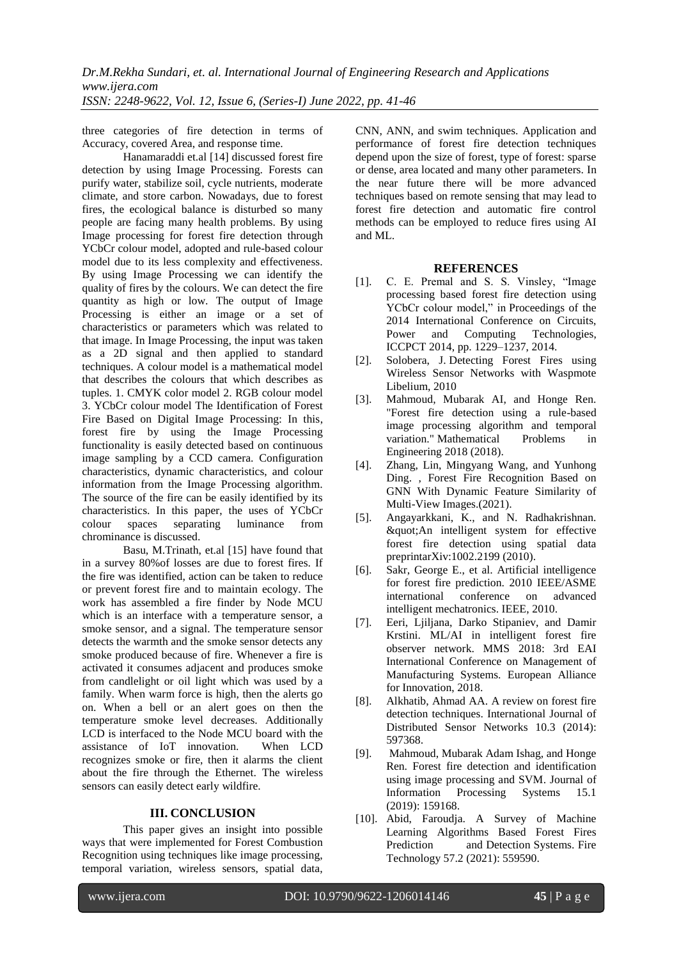three categories of fire detection in terms of Accuracy, covered Area, and response time.

Hanamaraddi et.al [14] discussed forest fire detection by using Image Processing. Forests can purify water, stabilize soil, cycle nutrients, moderate climate, and store carbon. Nowadays, due to forest fires, the ecological balance is disturbed so many people are facing many health problems. By using Image processing for forest fire detection through YCbCr colour model, adopted and rule-based colour model due to its less complexity and effectiveness. By using Image Processing we can identify the quality of fires by the colours. We can detect the fire quantity as high or low. The output of Image Processing is either an image or a set of characteristics or parameters which was related to that image. In Image Processing, the input was taken as a 2D signal and then applied to standard techniques. A colour model is a mathematical model that describes the colours that which describes as tuples. 1. CMYK color model 2. RGB colour model 3. YCbCr colour model The Identification of Forest Fire Based on Digital Image Processing: In this, forest fire by using the Image Processing functionality is easily detected based on continuous image sampling by a CCD camera. Configuration characteristics, dynamic characteristics, and colour information from the Image Processing algorithm. The source of the fire can be easily identified by its characteristics. In this paper, the uses of YCbCr colour spaces separating luminance from chrominance is discussed.

Basu, M.Trinath, et.al [15] have found that in a survey 80%of losses are due to forest fires. If the fire was identified, action can be taken to reduce or prevent forest fire and to maintain ecology. The work has assembled a fire finder by Node MCU which is an interface with a temperature sensor, a smoke sensor, and a signal. The temperature sensor detects the warmth and the smoke sensor detects any smoke produced because of fire. Whenever a fire is activated it consumes adjacent and produces smoke from candlelight or oil light which was used by a family. When warm force is high, then the alerts go on. When a bell or an alert goes on then the temperature smoke level decreases. Additionally LCD is interfaced to the Node MCU board with the assistance of IoT innovation. When LCD recognizes smoke or fire, then it alarms the client about the fire through the Ethernet. The wireless sensors can easily detect early wildfire.

### **III. CONCLUSION**

This paper gives an insight into possible ways that were implemented for Forest Combustion Recognition using techniques like image processing, temporal variation, wireless sensors, spatial data, CNN, ANN, and swim techniques. Application and performance of forest fire detection techniques depend upon the size of forest, type of forest: sparse or dense, area located and many other parameters. In the near future there will be more advanced techniques based on remote sensing that may lead to forest fire detection and automatic fire control methods can be employed to reduce fires using AI and ML.

### **REFERENCES**

- [1]. C. E. Premal and S. S. Vinsley, "Image processing based forest fire detection using YCbCr colour model," in Proceedings of the 2014 International Conference on Circuits, Power and Computing Technologies, ICCPCT 2014, pp. 1229–1237, 2014.
- [2]. Solobera, J. Detecting Forest Fires using Wireless Sensor Networks with Waspmote Libelium, 2010
- [3]. Mahmoud, Mubarak AI, and Honge Ren. "Forest fire detection using a rule-based image processing algorithm and temporal variation." Mathematical Problems in Engineering 2018 (2018).
- [4]. Zhang, Lin, Mingyang Wang, and Yunhong Ding. , Forest Fire Recognition Based on GNN With Dynamic Feature Similarity of Multi-View Images.(2021).
- [5]. Angayarkkani, K., and N. Radhakrishnan. "An intelligent system for effective forest fire detection using spatial data preprintarXiv:1002.2199 (2010).
- [6]. Sakr, George E., et al. Artificial intelligence for forest fire prediction. 2010 IEEE/ASME international conference on advanced intelligent mechatronics. IEEE, 2010.
- [7]. Eeri, Ljiljana, Darko Stipaniev, and Damir Krstini. ML/AI in intelligent forest fire observer network. MMS 2018: 3rd EAI International Conference on Management of Manufacturing Systems. European Alliance for Innovation, 2018.
- [8]. Alkhatib, Ahmad AA. A review on forest fire detection techniques. International Journal of Distributed Sensor Networks 10.3 (2014): 597368.
- [9]. Mahmoud, Mubarak Adam Ishag, and Honge Ren. Forest fire detection and identification using image processing and SVM. Journal of Information Processing Systems 15.1 (2019): 159168.
- [10]. Abid, Faroudja. A Survey of Machine Learning Algorithms Based Forest Fires Prediction and Detection Systems. Fire Technology 57.2 (2021): 559590.